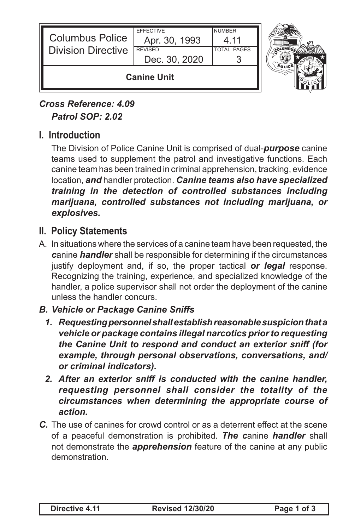| <b>Columbus Police</b><br><b>Division Directive</b> | <b>EFFECTIVE</b><br>Apr. 30, 1993<br><b>REVISED</b><br>Dec. 30, 2020 | <b>NUMBER</b><br>4 11<br><b>TOTAL PAGES</b> |  |
|-----------------------------------------------------|----------------------------------------------------------------------|---------------------------------------------|--|
| <b>Canine Unit</b>                                  |                                                                      |                                             |  |

### *Cross Reference: 4.09 Patrol SOP: 2.02*

## **I. Introduction**

The Division of Police Canine Unit is comprised of dual-*purpose* canine teams used to supplement the patrol and investigative functions. Each canine team has been trained in criminal apprehension, tracking, evidence location, *and* handler protection. *Canine teams also have specialized training in the detection of controlled substances including marijuana, controlled substances not including marijuana, or explosives.*

### **II. Policy Statements**

A. In situations where the services of a canine team have been requested, the *c*anine *handler* shall be responsible for determining if the circumstances justify deployment and, if so, the proper tactical *or legal* response. Recognizing the training, experience, and specialized knowledge of the handler, a police supervisor shall not order the deployment of the canine unless the handler concurs.

#### *B. Vehicle or Package Canine Sniffs*

- *1. Requesting personnel shall establish reasonable suspicion that a vehicle or package contains illegal narcotics prior to requesting the Canine Unit to respond and conduct an exterior sniff (for example, through personal observations, conversations, and/ or criminal indicators).*
- *2. After an exterior sniff is conducted with the canine handler, requesting personnel shall consider the totality of the circumstances when determining the appropriate course of action.*
- *C.* The use of canines for crowd control or as a deterrent effect at the scene of a peaceful demonstration is prohibited. *The c*anine *handler* shall not demonstrate the *apprehension* feature of the canine at any public demonstration.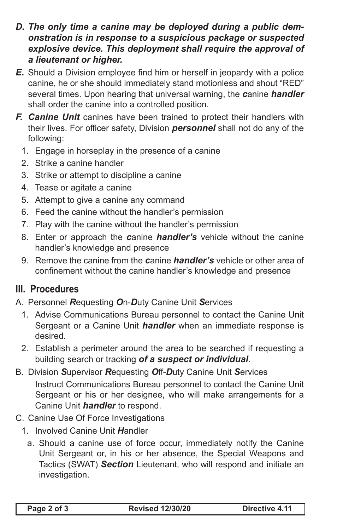- *D. The only time a canine may be deployed during a public demonstration is in response to a suspicious package or suspected explosive device. This deployment shall require the approval of a lieutenant or higher.*
- *E.* Should a Division employee find him or herself in jeopardy with a police canine, he or she should immediately stand motionless and shout "RED" several times. Upon hearing that universal warning, the *c*anine *handler* shall order the canine into a controlled position.
- *F. Canine Unit* canines have been trained to protect their handlers with their lives. For officer safety, Division *personnel* shall not do any of the following:
	- 1. Engage in horseplay in the presence of a canine
	- 2. Strike a canine handler
	- 3. Strike or attempt to discipline a canine
	- 4. Tease or agitate a canine
	- 5. Attempt to give a canine any command
	- 6. Feed the canine without the handler's permission
	- 7. Play with the canine without the handler's permission
	- 8. Enter or approach the *c*anine *handler's* vehicle without the canine handler's knowledge and presence
	- 9. Remove the canine from the *c*anine *handler's* vehicle or other area of confinement without the canine handler's knowledge and presence

# **III. Procedures**

- A. Personnel *R*equesting *O*n-*D*uty Canine Unit *S*ervices
	- 1. Advise Communications Bureau personnel to contact the Canine Unit Sergeant or a Canine Unit *handler* when an immediate response is desired.
	- 2. Establish a perimeter around the area to be searched if requesting a building search or tracking *of a suspect or individual*.
- B. Division *S*upervisor *R*equesting *O*ff-*D*uty Canine Unit *S*ervices Instruct Communications Bureau personnel to contact the Canine Unit Sergeant or his or her designee, who will make arrangements for a Canine Unit *handler* to respond.
- C. Canine Use Of Force Investigations
	- 1. Involved Canine Unit *H*andler
		- a. Should a canine use of force occur, immediately notify the Canine Unit Sergeant or, in his or her absence, the Special Weapons and Tactics (SWAT) *Section* Lieutenant, who will respond and initiate an investigation.